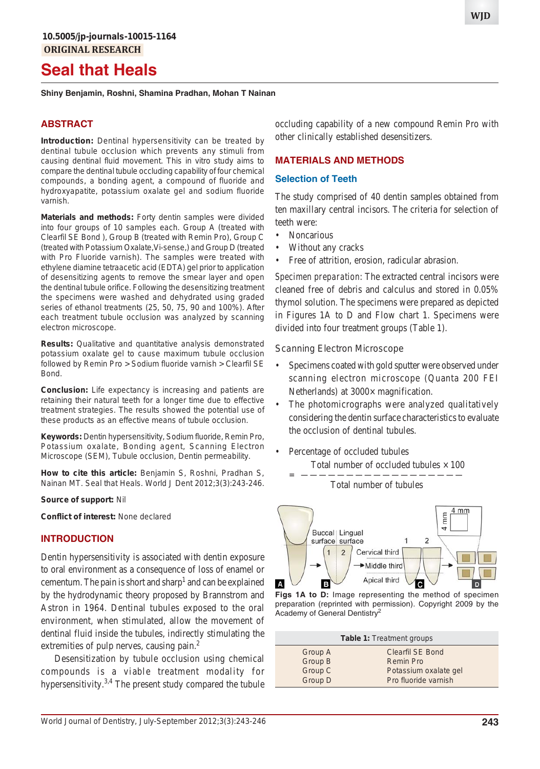# **Seal that Heals**

**Shiny Benjamin, Roshni, Shamina Pradhan, Mohan T Nainan**

# **ABSTRACT**

**Introduction:** Dentinal hypersensitivity can be treated by dentinal tubule occlusion which prevents any stimuli from causing dentinal fluid movement. This *in vitro* study aims to compare the dentinal tubule occluding capability of four chemical compounds, a bonding agent, a compound of fluoride and hydroxyapatite, potassium oxalate gel and sodium fluoride varnish.

**Materials and methods:** Forty dentin samples were divided into four groups of 10 samples each. Group A (treated with Clearfil SE Bond ), Group B (treated with Remin Pro), Group C (treated with Potassium Oxalate,Vi-sense,) and Group D (treated with Pro Fluoride varnish). The samples were treated with ethylene diamine tetraacetic acid (EDTA) gel prior to application of desensitizing agents to remove the smear layer and open the dentinal tubule orifice. Following the desensitizing treatment the specimens were washed and dehydrated using graded series of ethanol treatments (25, 50, 75, 90 and 100%). After each treatment tubule occlusion was analyzed by scanning electron microscope.

**Results:** Qualitative and quantitative analysis demonstrated potassium oxalate gel to cause maximum tubule occlusion followed by Remin Pro > Sodium fluoride varnish > Clearfil SE **Bond** 

**Conclusion:** Life expectancy is increasing and patients are retaining their natural teeth for a longer time due to effective treatment strategies. The results showed the potential use of these products as an effective means of tubule occlusion.

**Keywords:** Dentin hypersensitivity, Sodium fluoride, Remin Pro, Potassium oxalate, Bonding agent, Scanning Electron Microscope (SEM), Tubule occlusion, Dentin permeability.

**How to cite this article:** Benjamin S, Roshni, Pradhan S, Nainan MT. Seal that Heals. World J Dent 2012;3(3):243-246.

#### **Source of support:** Nil

**Conflict of interest:** None declared

### **INTRODUCTION**

Dentin hypersensitivity is associated with dentin exposure to oral environment as a consequence of loss of enamel or cementum. The pain is short and sharp<sup>1</sup> and can be explained by the hydrodynamic theory proposed by Brannstrom and Astron in 1964. Dentinal tubules exposed to the oral environment, when stimulated, allow the movement of dentinal fluid inside the tubules, indirectly stimulating the extremities of pulp nerves, causing pain.<sup>2</sup>

Desensitization by tubule occlusion using chemical compounds is a viable treatment modality for hypersensitivity.<sup>3,4</sup> The present study compared the tubule

occluding capability of a new compound Remin Pro with other clinically established desensitizers.

## **MATERIALS AND METHODS**

#### **Selection of Teeth**

The study comprised of 40 dentin samples obtained from ten maxillary central incisors. The criteria for selection of teeth were:

- Noncarious
- Without any cracks
- Free of attrition, erosion, radicular abrasion.

*Specimen preparation*: The extracted central incisors were cleaned free of debris and calculus and stored in 0.05% thymol solution. The specimens were prepared as depicted in Figures 1A to D and Flow chart 1. Specimens were divided into four treatment groups (Table 1).

### *Scanning Electron Microscope*

- Specimens coated with gold sputter were observed under scanning electron microscope (Quanta 200 FEI Netherlands) at 3000 $\times$  magnification.
- The photomicrographs were analyzed qualitatively considering the dentin surface characteristics to evaluate the occlusion of dentinal tubules.
- Percentage of occluded tubules Total number of occluded tubules  $\times$  100

= —————————————————— Total number of tubules



**Figs 1A to D:** Image representing the method of specimen preparation (reprinted with permission). Copyright 2009 by the Academy of General Dentistry<sup>2</sup>

| <b>Table 1: Treatment groups</b> |                         |  |
|----------------------------------|-------------------------|--|
| Group A                          | <b>Clearfil SE Bond</b> |  |
| Group B                          | <b>Remin Pro</b>        |  |
| Group C                          | Potassium oxalate gel   |  |
| Group D                          | Pro fluoride varnish    |  |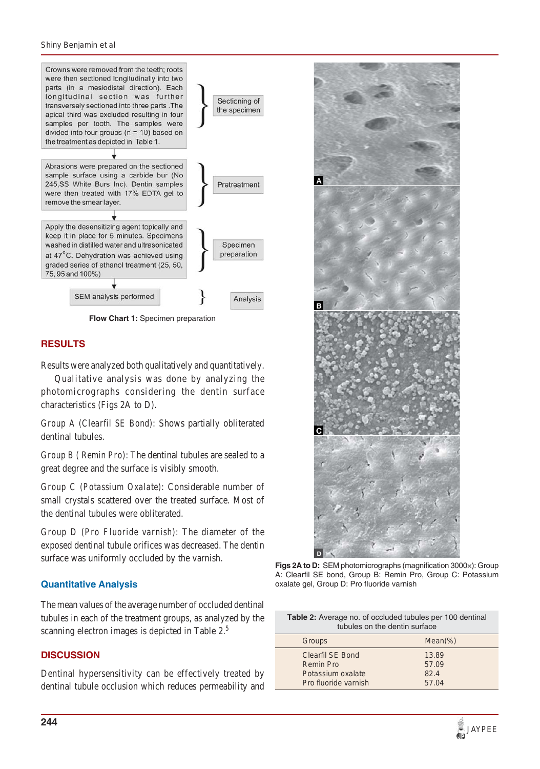#### *Shiny Benjamin et al*



**Flow Chart 1:** Specimen preparation

### **RESULTS**

Results were analyzed both qualitatively and quantitatively.

Qualitative analysis was done by analyzing the photomicrographs considering the dentin surface characteristics (Figs 2A to D).

*Group A (Clearfil SE Bond)*: Shows partially obliterated dentinal tubules.

*Group B ( Remin Pro)*: The dentinal tubules are sealed to a great degree and the surface is visibly smooth.

*Group C (Potassium Oxalate)*: Considerable number of small crystals scattered over the treated surface. Most of the dentinal tubules were obliterated.

*Group D (Pro Fluoride varnish)*: The diameter of the exposed dentinal tubule orifices was decreased. The dentin surface was uniformly occluded by the varnish.

### **Quantitative Analysis**

The mean values of the average number of occluded dentinal tubules in each of the treatment groups, as analyzed by the scanning electron images is depicted in Table 2.<sup>5</sup>

## **DISCUSSION**

Dentinal hypersensitivity can be effectively treated by dentinal tubule occlusion which reduces permeability and



**Figs 2A to D:** SEM photomicrographs (magnification 3000×): Group A: Clearfil SE bond, Group B: Remin Pro, Group C: Potassium oxalate gel, Group D: Pro fluoride varnish

| <b>Table 2:</b> Average no. of occluded tubules per 100 dentinal<br>tubules on the dentin surface |                |  |
|---------------------------------------------------------------------------------------------------|----------------|--|
| Groups                                                                                            | $Mean(\% )$    |  |
| Clearfil SE Bond<br>Remin Pro                                                                     | 13.89<br>57.09 |  |
| Potassium oxalate                                                                                 | 82.4           |  |
| Pro fluoride varnish                                                                              | 57.04          |  |

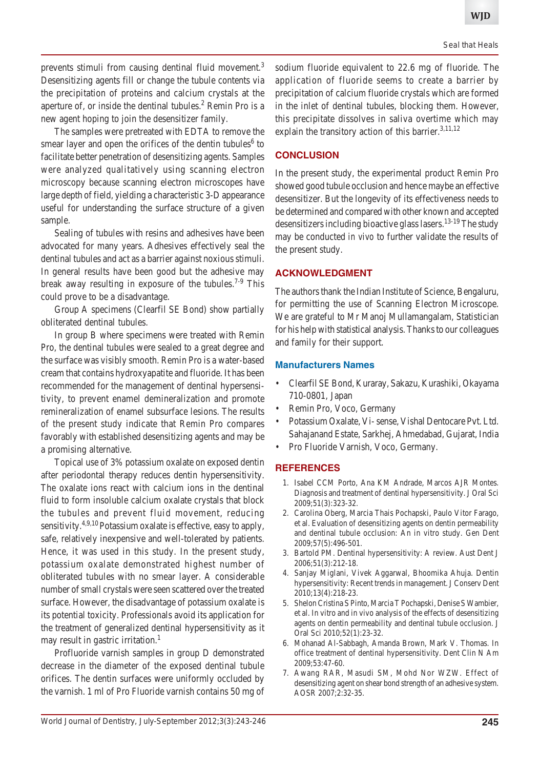prevents stimuli from causing dentinal fluid movement.<sup>3</sup> Desensitizing agents fill or change the tubule contents via the precipitation of proteins and calcium crystals at the aperture of, or inside the dentinal tubules. $<sup>2</sup>$  Remin Pro is a</sup> new agent hoping to join the desensitizer family.

The samples were pretreated with EDTA to remove the smear layer and open the orifices of the dentin tubules<sup>6</sup> to facilitate better penetration of desensitizing agents. Samples were analyzed qualitatively using scanning electron microscopy because scanning electron microscopes have large depth of field, yielding a characteristic 3-D appearance useful for understanding the surface structure of a given sample.

Sealing of tubules with resins and adhesives have been advocated for many years. Adhesives effectively seal the dentinal tubules and act as a barrier against noxious stimuli. In general results have been good but the adhesive may break away resulting in exposure of the tubules.<sup>7-9</sup> This could prove to be a disadvantage.

Group A specimens (Clearfil SE Bond) show partially obliterated dentinal tubules.

In group B where specimens were treated with Remin Pro, the dentinal tubules were sealed to a great degree and the surface was visibly smooth. Remin Pro is a water-based cream that contains hydroxyapatite and fluoride. It has been recommended for the management of dentinal hypersensitivity, to prevent enamel demineralization and promote remineralization of enamel subsurface lesions. The results of the present study indicate that Remin Pro compares favorably with established desensitizing agents and may be a promising alternative.

Topical use of 3% potassium oxalate on exposed dentin after periodontal therapy reduces dentin hypersensitivity. The oxalate ions react with calcium ions in the dentinal fluid to form insoluble calcium oxalate crystals that block the tubules and prevent fluid movement, reducing sensitivity.<sup>4,9,10</sup> Potassium oxalate is effective, easy to apply, safe, relatively inexpensive and well-tolerated by patients. Hence, it was used in this study. In the present study, potassium oxalate demonstrated highest number of obliterated tubules with no smear layer. A considerable number of small crystals were seen scattered over the treated surface. However, the disadvantage of potassium oxalate is its potential toxicity. Professionals avoid its application for the treatment of generalized dentinal hypersensitivity as it may result in gastric irritation.<sup>1</sup>

Profluoride varnish samples in group D demonstrated decrease in the diameter of the exposed dentinal tubule orifices. The dentin surfaces were uniformly occluded by the varnish. 1 ml of Pro Fluoride varnish contains 50 mg of

sodium fluoride equivalent to 22.6 mg of fluoride. The application of fluoride seems to create a barrier by precipitation of calcium fluoride crystals which are formed in the inlet of dentinal tubules, blocking them. However, this precipitate dissolves in saliva overtime which may explain the transitory action of this barrier.<sup>3,11,12</sup>

## **CONCLUSION**

In the present study, the experimental product Remin Pro showed good tubule occlusion and hence maybe an effective desensitizer. But the longevity of its effectiveness needs to be determined and compared with other known and accepted desensitizers including bioactive glass lasers.<sup>13-19</sup> The study may be conducted *in vivo* to further validate the results of the present study.

#### **ACKNOWLEDGMENT**

The authors thank the Indian Institute of Science, Bengaluru, for permitting the use of Scanning Electron Microscope. We are grateful to Mr Manoj Mullamangalam, Statistician for his help with statistical analysis. Thanks to our colleagues and family for their support.

#### **Manufacturers Names**

- Clearfil SE Bond, Kuraray, Sakazu, Kurashiki, Okayama 710-0801, Japan
- Remin Pro, Voco, Germany
- Potassium Oxalate, Vi- sense, Vishal Dentocare Pvt. Ltd. Sahajanand Estate, Sarkhej, Ahmedabad, Gujarat, India
- Pro Fluoride Varnish, Voco, Germany.

#### **REFERENCES**

- 1. Isabel CCM Porto, Ana KM Andrade, Marcos AJR Montes. Diagnosis and treatment of dentinal hypersensitivity. J Oral Sci 2009;51(3):323-32.
- 2. Carolina Oberg, Marcia Thais Pochapski, Paulo Vitor Farago, et al. Evaluation of desensitizing agents on dentin permeability and dentinal tubule occlusion: An in vitro study. Gen Dent 2009;57(5):496-501.
- 3. Bartold PM. Dentinal hypersensitivity: A review. Aust Dent J 2006;51(3):212-18.
- 4. Sanjay Miglani, Vivek Aggarwal, Bhoomika Ahuja. Dentin hypersensitivity: Recent trends in management. J Conserv Dent 2010;13(4):218-23.
- 5. Shelon Cristina S Pinto, Marcia T Pochapski, Denise S Wambier, et al. In vitro and in vivo analysis of the effects of desensitizing agents on dentin permeability and dentinal tubule occlusion. J Oral Sci 2010;52(1):23-32.
- 6. Mohanad Al-Sabbagh, Amanda Brown, Mark V. Thomas. In office treatment of dentinal hypersensitivity. Dent Clin N Am 2009;53:47-60.
- 7. Awang RAR, Masudi SM, Mohd Nor WZW. Effect of desensitizing agent on shear bond strength of an adhesive system. AOSR 2007;2:32-35.